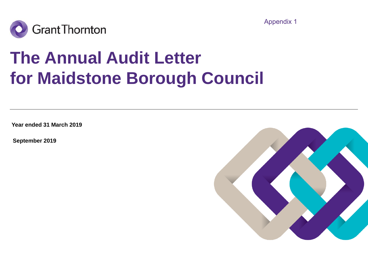



# **The Annual Audit Letter for Maidstone Borough Council**

**Year ended 31 March 2019**

**September 2019**

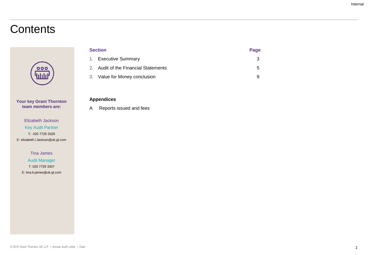# **Contents**

# $\overline{\mathbf{o}}\overline{\mathbf{o}}\overline{\mathbf{o}}$ ılılı

**Your key Grant Thornton team members are:**

#### Elizabeth Jackson Key Audit Partner T: 020 7728 3329 E: elizabeth.l.Jackson@uk.gt.com

Tina James

Audit Manager T: 020 7728 3307 E: tina.b.james@uk.gt.com

| <b>Section</b> |                                      | Page |
|----------------|--------------------------------------|------|
|                | 1. Executive Summary                 |      |
|                | 2. Audit of the Financial Statements | 5    |
|                | 3. Value for Money conclusion        |      |

### **Appendices**

A Reports issued and fees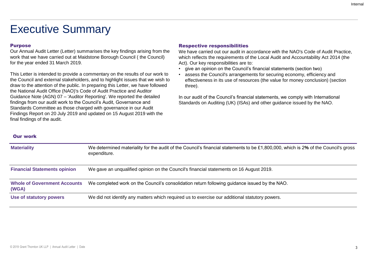# Executive Summary

### Purpose

Our Annual Audit Letter (Letter) summarises the key findings arising from the work that we have carried out at Maidstone Borough Council ( the Council) for the year ended 31 March 2019.

This Letter is intended to provide a commentary on the results of our work to the Council and external stakeholders, and to highlight issues that we wish to draw to the attention of the public. In preparing this Letter, we have followed the National Audit Office (NAO)'s Code of Audit Practice and Auditor Guidance Note (AGN) 07 – 'Auditor Reporting'. We reported the detailed findings from our audit work to the Council's Audit, Governance and Standards Committee as those charged with governance in our Audit Findings Report on 20 July 2019 and updated on 15 August 2019 with the final findings of the audit.

### Respective responsibilities

We have carried out our audit in accordance with the NAO's Code of Audit Practice, which reflects the requirements of the Local Audit and Accountability Act 2014 (the Act). Our key responsibilities are to:

- give an opinion on the Council's financial statements (section two)
- assess the Council's arrangements for securing economy, efficiency and effectiveness in its use of resources (the value for money conclusion) (section three).

In our audit of the Council's financial statements, we comply with International Standards on Auditing (UK) (ISAs) and other guidance issued by the NAO.

#### Our work

| <b>Materiality</b>                           | We determined materiality for the audit of the Council's financial statements to be £1,800,000, which is 2% of the Council's gross<br>expenditure. |
|----------------------------------------------|----------------------------------------------------------------------------------------------------------------------------------------------------|
| <b>Financial Statements opinion</b>          | We gave an unqualified opinion on the Council's financial statements on 16 August 2019.                                                            |
| <b>Whole of Government Accounts</b><br>(WGA) | We completed work on the Council's consolidation return following guidance issued by the NAO.                                                      |
| Use of statutory powers                      | We did not identify any matters which required us to exercise our additional statutory powers.                                                     |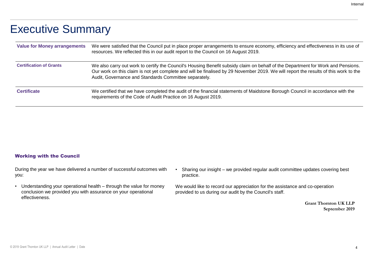# Executive Summary

| <b>Value for Money arrangements</b> | We were satisfied that the Council put in place proper arrangements to ensure economy, efficiency and effectiveness in its use of<br>resources. We reflected this in our audit report to the Council on 16 August 2019.                                                                                                           |
|-------------------------------------|-----------------------------------------------------------------------------------------------------------------------------------------------------------------------------------------------------------------------------------------------------------------------------------------------------------------------------------|
| <b>Certification of Grants</b>      | We also carry out work to certify the Council's Housing Benefit subsidy claim on behalf of the Department for Work and Pensions.<br>Our work on this claim is not yet complete and will be finalised by 29 November 2019. We will report the results of this work to the<br>Audit, Governance and Standards Committee separately. |
| <b>Certificate</b>                  | We certified that we have completed the audit of the financial statements of Maidstone Borough Council in accordance with the<br>requirements of the Code of Audit Practice on 16 August 2019.                                                                                                                                    |

#### Working with the Council

During the year we have delivered a number of successful outcomes with you:

- Understanding your operational health through the value for money conclusion we provided you with assurance on your operational effectiveness.
- Sharing our insight we provided regular audit committee updates covering best practice.

We would like to record our appreciation for the assistance and co-operation provided to us during our audit by the Council's staff.

> **Grant Thornton UK LLP September 2019**

Internal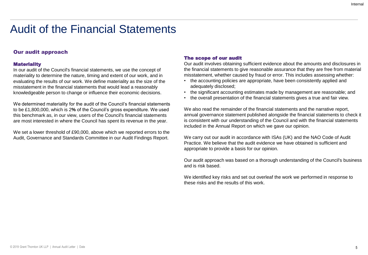# Audit of the Financial Statements

### Our audit approach

#### **Materiality**

In our audit of the Council's financial statements, we use the concept of materiality to determine the nature, timing and extent of our work, and in evaluating the results of our work. We define materiality as the size of the misstatement in the financial statements that would lead a reasonably knowledgeable person to change or influence their economic decisions.

We determined materiality for the audit of the Council's financial statements to be £1,800,000, which is 2**%** of the Council's gross expenditure. We used this benchmark as, in our view, users of the Council's financial statements are most interested in where the Council has spent its revenue in the year.

We set a lower threshold of £90,000, above which we reported errors to the Audit, Governance and Standards Committee in our Audit Findings Report.

#### The scope of our audit

Our audit involves obtaining sufficient evidence about the amounts and disclosures in the financial statements to give reasonable assurance that they are free from material misstatement, whether caused by fraud or error. This includes assessing whether:

- the accounting policies are appropriate, have been consistently applied and adequately disclosed;
- the significant accounting estimates made by management are reasonable; and
- the overall presentation of the financial statements gives a true and fair view.

We also read the remainder of the financial statements and the narrative report, annual governance statement published alongside the financial statements to check it is consistent with our understanding of the Council and with the financial statements included in the Annual Report on which we gave our opinion.

We carry out our audit in accordance with ISAs (UK) and the NAO Code of Audit Practice. We believe that the audit evidence we have obtained is sufficient and appropriate to provide a basis for our opinion.

Our audit approach was based on a thorough understanding of the Council's business and is risk based.

We identified key risks and set out overleaf the work we performed in response to these risks and the results of this work.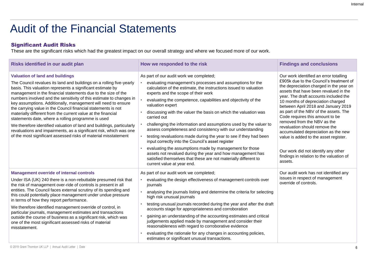# Audit of the Financial Statements

### Significant Audit Risks

These are the significant risks which had the greatest impact on our overall strategy and where we focused more of our work.

| Risks identified in our audit plan                                                                                                                                                                                                                                                                                                                                                                                                                                                                                                                                                                                                                                                                                                                                                             | How we responded to the risk                                                                                                                                                                                                                                                                                                                                                                                                                                                                                                                                                                                                                                                                                                                                                                                                                                                    | <b>Findings and conclusions</b>                                                                                                                                                                                                                                                                                                                                                                                                                                                                                                                                                                                      |
|------------------------------------------------------------------------------------------------------------------------------------------------------------------------------------------------------------------------------------------------------------------------------------------------------------------------------------------------------------------------------------------------------------------------------------------------------------------------------------------------------------------------------------------------------------------------------------------------------------------------------------------------------------------------------------------------------------------------------------------------------------------------------------------------|---------------------------------------------------------------------------------------------------------------------------------------------------------------------------------------------------------------------------------------------------------------------------------------------------------------------------------------------------------------------------------------------------------------------------------------------------------------------------------------------------------------------------------------------------------------------------------------------------------------------------------------------------------------------------------------------------------------------------------------------------------------------------------------------------------------------------------------------------------------------------------|----------------------------------------------------------------------------------------------------------------------------------------------------------------------------------------------------------------------------------------------------------------------------------------------------------------------------------------------------------------------------------------------------------------------------------------------------------------------------------------------------------------------------------------------------------------------------------------------------------------------|
| <b>Valuation of land and buildings</b><br>The Council revalues its land and buildings on a rolling five-yearly<br>basis. This valuation represents a significant estimate by<br>management in the financial statements due to the size of the<br>numbers involved and the sensitivity of this estimate to changes in<br>key assumptions. Additionally, management will need to ensure<br>the carrying value in the Council financial statements is not<br>materially different from the current value at the financial<br>statements date, where a rolling programme is used<br>We therefore identified valuation of land and buildings, particularly<br>revaluations and impairments, as a significant risk, which was one<br>of the most significant assessed risks of material misstatement | As part of our audit work we completed;<br>evaluating management's processes and assumptions for the<br>calculation of the estimate, the instructions issued to valuation<br>experts and the scope of their work<br>evaluating the competence, capabilities and objectivity of the<br>valuation expert<br>discussing with the valuer the basis on which the valuation was<br>carried out<br>challenging the information and assumptions used by the valuer to<br>assess completeness and consistency with our understanding<br>testing revaluations made during the year to see if they had been<br>input correctly into the Council's asset register<br>evaluating the assumptions made by management for those<br>assets not revalued during the year and how management has<br>satisfied themselves that these are not materially different to<br>current value at year end. | Our work identified an error totalling<br>£905k due to the Council's treatment of<br>the depreciation charged in the year on<br>assets that have been revalued in the<br>year. The draft accounts included the<br>10 months of depreciation charged<br>between April 2018 and January 2019<br>as part of the NBV of the assets. The<br>Code requires this amount to be<br>removed from the NBV as the<br>revaluation should remove the<br>accumulated depreciation as the new<br>value is added to the asset register.<br>Our work did not identify any other<br>findings in relation to the valuation of<br>assets. |
| <b>Management override of internal controls</b><br>Under ISA (UK) 240 there is a non-rebuttable presumed risk that<br>the risk of management over-ride of controls is present in all<br>entities. The Council faces external scrutiny of its spending and<br>this could potentially place management under undue pressure<br>in terms of how they report performance.<br>We therefore identified management override of control, in<br>particular journals, management estimates and transactions<br>outside the course of business as a significant risk, which was<br>one of the most significant assessed risks of material<br>misstatement.                                                                                                                                                | As part of our audit work we completed;<br>evaluating the design effectiveness of management controls over<br>journals<br>analysing the journals listing and determine the criteria for selecting<br>high risk unusual journals<br>testing unusual journals recorded during the year and after the draft<br>accounts stage for appropriateness and corroboration<br>gaining an understanding of the accounting estimates and critical<br>judgements applied made by management and consider their<br>reasonableness with regard to corroborative evidence<br>evaluating the rationale for any changes in accounting policies,<br>estimates or significant unusual transactions.                                                                                                                                                                                                 | Our audit work has not identified any<br>issues in respect of management<br>override of controls.                                                                                                                                                                                                                                                                                                                                                                                                                                                                                                                    |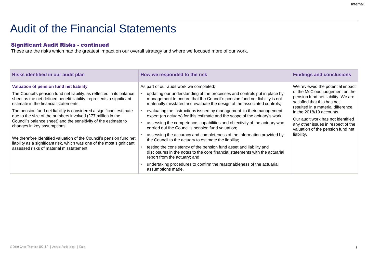#### Internal

# Audit of the Financial Statements

### Significant Audit Risks - continued

These are the risks which had the greatest impact on our overall strategy and where we focused more of our work.

| Risks identified in our audit plan                                                                                                                                                                                                                                                                                                                                                                                                                                                                                                                                                                                                                                     | How we responded to the risk                                                                                                                                                                                                                                                                                                                                                                                                                                                                                                                                                                                                                                                                                                                                                                                                                                                                                                                                                                 | <b>Findings and conclusions</b>                                                                                                                                                                                                                                                                                                         |
|------------------------------------------------------------------------------------------------------------------------------------------------------------------------------------------------------------------------------------------------------------------------------------------------------------------------------------------------------------------------------------------------------------------------------------------------------------------------------------------------------------------------------------------------------------------------------------------------------------------------------------------------------------------------|----------------------------------------------------------------------------------------------------------------------------------------------------------------------------------------------------------------------------------------------------------------------------------------------------------------------------------------------------------------------------------------------------------------------------------------------------------------------------------------------------------------------------------------------------------------------------------------------------------------------------------------------------------------------------------------------------------------------------------------------------------------------------------------------------------------------------------------------------------------------------------------------------------------------------------------------------------------------------------------------|-----------------------------------------------------------------------------------------------------------------------------------------------------------------------------------------------------------------------------------------------------------------------------------------------------------------------------------------|
| Valuation of pension fund net liability<br>The Council's pension fund net liability, as reflected in its balance<br>sheet as the net defined benefit liability, represents a significant<br>estimate in the financial statements.<br>The pension fund net liability is considered a significant estimate<br>due to the size of the numbers involved (£77 million in the<br>Council's balance sheet) and the sensitivity of the estimate to<br>changes in key assumptions.<br>We therefore identified valuation of the Council's pension fund net<br>liability as a significant risk, which was one of the most significant<br>assessed risks of material misstatement. | As part of our audit work we completed;<br>updating our understanding of the processes and controls put in place by<br>management to ensure that the Council's pension fund net liability is not<br>materially misstated and evaluate the design of the associated controls;<br>evaluating the instructions issued by management to their management<br>expert (an actuary) for this estimate and the scope of the actuary's work;<br>assessing the competence, capabilities and objectivity of the actuary who<br>carried out the Council's pension fund valuation;<br>assessing the accuracy and completeness of the information provided by<br>the Council to the actuary to estimate the liability;<br>testing the consistency of the pension fund asset and liability and<br>disclosures in the notes to the core financial statements with the actuarial<br>report from the actuary; and<br>undertaking procedures to confirm the reasonableness of the actuarial<br>assumptions made. | We reviewed the potential impact<br>of the McCloud judgement on the<br>pension fund net liability. We are<br>satisfied that this has not<br>resulted in a material difference<br>in the 2018/19 accounts.<br>Our audit work has not identified<br>any other issues in respect of the<br>valuation of the pension fund net<br>liability. |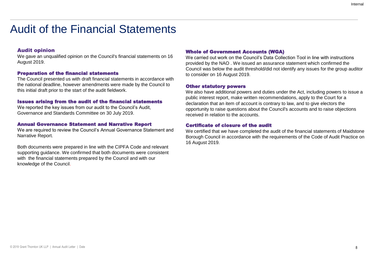# Audit of the Financial Statements

#### Audit opinion

We gave an unqualified opinion on the Council's financial statements on 16 August 2019.

#### Preparation of the financial statements

The Council presented us with draft financial statements in accordance with the national deadline, however amendments were made by the Council to this initial draft prior to the start of the audit fieldwork.

#### Issues arising from the audit of the financial statements

We reported the key issues from our audit to the Council's Audit, Governance and Standards Committee on 30 July 2019.

#### Annual Governance Statement and Narrative Report

We are required to review the Council's Annual Governance Statement and Narrative Report.

Both documents were prepared in line with the CIPFA Code and relevant supporting guidance. We confirmed that both documents were consistent with the financial statements prepared by the Council and with our knowledge of the Council.

#### Whole of Government Accounts (WGA)

We carried out work on the Council's Data Collection Tool in line with instructions provided by the NAO . We issued an assurance statement which confirmed the Council was below the audit threshold/did not identify any issues for the group auditor to consider on 16 August 2019.

#### Other statutory powers

We also have additional powers and duties under the Act, including powers to issue a public interest report, make written recommendations, apply to the Court for a declaration that an item of account is contrary to law, and to give electors the opportunity to raise questions about the Council's accounts and to raise objections received in relation to the accounts.

#### Certificate of closure of the audit

We certified that we have completed the audit of the financial statements of Maidstone Borough Council in accordance with the requirements of the Code of Audit Practice on 16 August 2019.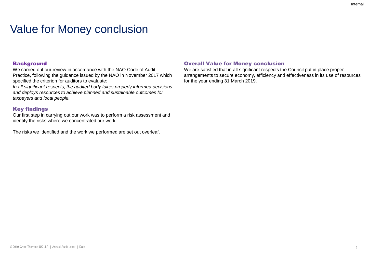# Value for Money conclusion

### **Background**

We carried out our review in accordance with the NAO Code of Audit Practice, following the guidance issued by the NAO in November 2017 which specified the criterion for auditors to evaluate:

*In all significant respects, the audited body takes properly informed decisions and deploys resources to achieve planned and sustainable outcomes for taxpayers and local people.* 

#### Key findings

Our first step in carrying out our work was to perform a risk assessment and identify the risks where we concentrated our work.

The risks we identified and the work we performed are set out overleaf.

#### Overall Value for Money conclusion

We are satisfied that in all significant respects the Council put in place proper arrangements to secure economy, efficiency and effectiveness in its use of resources for the year ending 31 March 2019.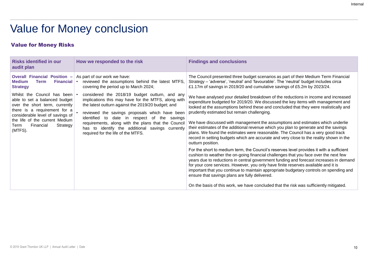# Value for Money conclusion

### Value for Money Risks

| <b>Risks identified in our</b><br>audit plan                                                                                                                                                                                                             | How we responded to the risk                                                                                                                                                                                                                                                                                                                                                                                               | <b>Findings and conclusions</b>                                                                                                                                                                                                                                                                                                                                                                                                                                                                                                                                                                                                                                                                                                                                                                                                                                                                                                                                                                                                                                                                                                                                                                                                                                                                        |
|----------------------------------------------------------------------------------------------------------------------------------------------------------------------------------------------------------------------------------------------------------|----------------------------------------------------------------------------------------------------------------------------------------------------------------------------------------------------------------------------------------------------------------------------------------------------------------------------------------------------------------------------------------------------------------------------|--------------------------------------------------------------------------------------------------------------------------------------------------------------------------------------------------------------------------------------------------------------------------------------------------------------------------------------------------------------------------------------------------------------------------------------------------------------------------------------------------------------------------------------------------------------------------------------------------------------------------------------------------------------------------------------------------------------------------------------------------------------------------------------------------------------------------------------------------------------------------------------------------------------------------------------------------------------------------------------------------------------------------------------------------------------------------------------------------------------------------------------------------------------------------------------------------------------------------------------------------------------------------------------------------------|
| <b>Overall Financial Position -</b><br><b>Financial</b><br><b>Medium</b><br><b>Term</b><br><b>Strategy</b>                                                                                                                                               | As part of our work we have:<br>reviewed the assumptions behind the latest MTFS,<br>covering the period up to March 2024;                                                                                                                                                                                                                                                                                                  | The Council presented three budget scenarios as part of their Medium Term Financial<br>Strategy - 'adverse', 'neutral' and 'favourable'. The 'neutral' budget includes circa<br>£1.17m of savings in 2019/20 and cumulative savings of £5.2m by 2023/24.                                                                                                                                                                                                                                                                                                                                                                                                                                                                                                                                                                                                                                                                                                                                                                                                                                                                                                                                                                                                                                               |
| Whilst the Council has been $\cdot$<br>able to set a balanced budget<br>over the short term, currently<br>there is a requirement for a<br>considerable level of savings of<br>the life of the current Medium<br>Financial<br>Strategy<br>Term<br>(MTFS). | considered the 2018/19 budget outturn, and any<br>implications this may have for the MTFS, along with<br>the latest outturn against the 2019/20 budget; and<br>reviewed the savings proposals which have been<br>identified<br>date in respect of the<br>to<br>savings<br>requirements, along with the plans that the Council<br>to identify the additional savings currently<br>has<br>required for the life of the MTFS. | We have analysed your detailed breakdown of the reductions in income and increased<br>expenditure budgeted for 2019/20. We discussed the key items with management and<br>looked at the assumptions behind these and concluded that they were realistically and<br>prudently estimated but remain challenging.<br>We have discussed with management the assumptions and estimates which underlie<br>their estimates of the additional revenue which you plan to generate and the savings<br>plans. We found the estimates were reasonable. The Council has a very good track<br>record in setting budgets which are accurate and very close to the reality shown in the<br>outturn position.<br>For the short to medium term, the Council's reserves level provides it with a sufficient<br>cushion to weather the on-going financial challenges that you face over the next few<br>years due to reductions in central government funding and forecast increases in demand<br>for your core services. However, you only have finite reserves available and it is<br>important that you continue to maintain appropriate budgetary controls on spending and<br>ensure that savings plans are fully delivered.<br>On the basis of this work, we have concluded that the risk was sufficiently mitigated. |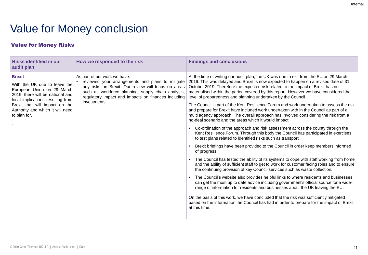# Value for Money conclusion

### Value for Money Risks

| <b>Risks identified in our</b><br>audit plan                                                                                                                                                                                               | How we responded to the risk                                                                                                                                                                                                                                         | <b>Findings and conclusions</b>                                                                                                                                                                                                                                                                                                                                                                                                                                                                                                                                                                                                                                                                                                                                                                                                                                                                                                                                                                                                                                                                                                                                                                                                                                                                                                                                                                                                                                                                                                                                                                                                                                                                                                                                                                                                                              |
|--------------------------------------------------------------------------------------------------------------------------------------------------------------------------------------------------------------------------------------------|----------------------------------------------------------------------------------------------------------------------------------------------------------------------------------------------------------------------------------------------------------------------|--------------------------------------------------------------------------------------------------------------------------------------------------------------------------------------------------------------------------------------------------------------------------------------------------------------------------------------------------------------------------------------------------------------------------------------------------------------------------------------------------------------------------------------------------------------------------------------------------------------------------------------------------------------------------------------------------------------------------------------------------------------------------------------------------------------------------------------------------------------------------------------------------------------------------------------------------------------------------------------------------------------------------------------------------------------------------------------------------------------------------------------------------------------------------------------------------------------------------------------------------------------------------------------------------------------------------------------------------------------------------------------------------------------------------------------------------------------------------------------------------------------------------------------------------------------------------------------------------------------------------------------------------------------------------------------------------------------------------------------------------------------------------------------------------------------------------------------------------------------|
| <b>Brexit</b><br>With the UK due to leave the<br>European Union on 29 March<br>2019, there will be national and<br>local implications resulting from<br>Brexit that will impact on the<br>Authority and which it will need<br>to plan for. | As part of our work we have:<br>reviewed your arrangements and plans to mitigate<br>any risks on Brexit. Our review will focus on areas<br>such as workforce planning, supply chain analysis,<br>regulatory impact and impacts on finances including<br>investments. | At the time of writing our audit plan, the UK was due to exit from the EU on 29 March<br>2019. This was delayed and Brexit is now expected to happen on a revised date of 31<br>October 2019. Therefore the expected risk related to the impact of Brexit has not<br>materialised within the period covered by this report. However we have considered the<br>level of preparedness and planning undertaken by the Council.<br>The Council is part of the Kent Resilience Forum and work undertaken to assess the risk<br>and prepare for Brexit have included work undertaken with in the Council as part of a<br>multi agency approach. The overall approach has involved considering the risk from a<br>no-deal scenario and the areas which it would impact;<br>Co-ordination of the approach and risk assessment across the county through the<br>Kent Resilience Forum. Through this body the Council has participated in exercises<br>to test plans related to identified risks such as transport<br>Brexit briefings have been provided to the Council in order keep members informed<br>of progress.<br>The Council has tested the ability of its systems to cope with staff working from home<br>and the ability of sufficient staff to get to work for customer facing roles and to ensure<br>the continuing provision of key Council services such as waste collection.<br>The Council's website also provides helpful links to where residents and businesses<br>can get the most up to date advice including government's official source for a wide-<br>range of information for residents and businesses about the UK leaving the EU.<br>On the basis of this work, we have concluded that the risk was sufficiently mitigated<br>based on the information the Council has had in order to prepare for the impact of Brexit<br>at this time. |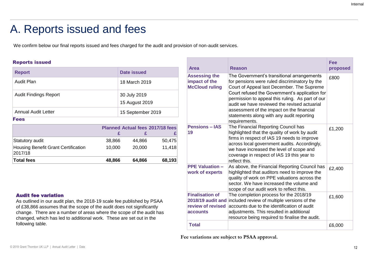# A. Reports issued and fees

We confirm below our final reports issued and fees charged for the audit and provision of non-audit services.

### Reports issued

| <b>Report</b>                                         |        | Date issued                             |        |
|-------------------------------------------------------|--------|-----------------------------------------|--------|
| Audit Plan                                            |        | 18 March 2019                           |        |
| <b>Audit Findings Report</b>                          |        | 30 July 2019<br>15 August 2019          |        |
| Annual Audit Letter                                   |        | 15 September 2019                       |        |
| <b>Fees</b>                                           |        |                                         |        |
|                                                       |        | <b>Planned Actual fees 2017/18 fees</b> |        |
|                                                       |        | £<br>£                                  | £      |
| Statutory audit                                       | 38,866 | 44,866                                  | 50,475 |
| <b>Housing Benefit Grant Certification</b><br>2017/18 | 10,000 | 20,000                                  | 11,418 |
| <b>Total fees</b>                                     | 48,866 | 64,866                                  | 68,193 |

### Audit fee variation

As outlined in our audit plan, the 2018-19 scale fee published by PSAA of £38,866 assumes that the scope of the audit does not significantly change. There are a number of areas where the scope of the audit has changed, which has led to additional work. These are set out in the following table.

| Area                                                           | Reason                                                                                                                                                                                                                                                                                                                                                                                                     | Fee<br>proposed |
|----------------------------------------------------------------|------------------------------------------------------------------------------------------------------------------------------------------------------------------------------------------------------------------------------------------------------------------------------------------------------------------------------------------------------------------------------------------------------------|-----------------|
| <b>Assessing the</b><br>impact of the<br><b>McCloud ruling</b> | The Government's transitional arrangements<br>for pensions were ruled discriminatory by the<br>Court of Appeal last December. The Supreme<br>Court refused the Government's application for<br>permission to appeal this ruling. As part of our<br>audit we have reviewed the revised actuarial<br>assessment of the impact on the financial<br>statements along with any audit reporting<br>requirements. | £800            |
| <b>Pensions - IAS</b><br>19                                    | The Financial Reporting Council has<br>highlighted that the quality of work by audit<br>firms in respect of IAS 19 needs to improve<br>across local government audits. Accordingly,<br>we have increased the level of scope and<br>coverage in respect of IAS 19 this year to<br>reflect this.                                                                                                             | £1,200          |
| <b>PPE Valuation -</b><br>work of experts                      | As above, the Financial Reporting Council has<br>highlighted that auditors need to improve the<br>quality of work on PPE valuations across the<br>sector. We have increased the volume and<br>scope of our audit work to reflect this.                                                                                                                                                                     | £2,400          |
| <b>Finalisation of</b><br>review of revised<br>accounts        | The completion process for the 2018/19<br>2018/19 audit and included review of multiple versions of the<br>accounts due to the identification of audit<br>adjustments. This resulted in additional<br>resource being required to finalise the audit.                                                                                                                                                       | £1,600          |
| <b>Total</b>                                                   |                                                                                                                                                                                                                                                                                                                                                                                                            | £6,000          |

**Fee variations are subject to PSAA approval.**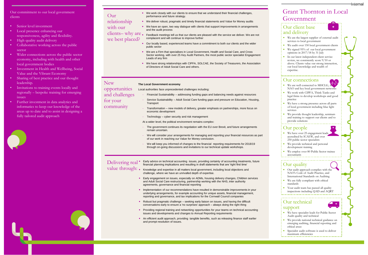Our commitment to our local government clients

- Senior level investment
- Local presence enhancing our responsiveness, agility and flexibility.
- High quality audit delivery
- Collaborative working across the public sector
- Wider connections across the public sector economy, including with health and other local government bodies
- Investment in Health and Wellbeing, Social Value and the Vibrant Economy
- Sharing of best practice and our thought leadership.
- Invitations to training events locally and regionally – bespoke training for emerging issues
- Further investment in data analytics and informatics to keep our knowledge of the areas up to date and to assist in designing a fully tailored audit approach



- We work closely with our clients to ensure that we understand their financial challenges, performance and future strategy.
- We deliver robust, pragmatic and timely financial statements and Value for Money audits relationship
- We have an open, two way dialogue with clients that support improvements in arrangements and the audit process with our

 Feedback meetings tell us that our clients are pleased with the service we deliver. We are not complacent and will continue to improve further clients– why are. we best placed?

- Our locally based, experienced teams have a commitment to both our clients and the wider public sector
- We are a Firm that specialises in Local Government, Health and Social Care, and Cross Sector working, with over 25 Key Audit Partners, the most public sector specialist Engagement Leads of any firm
- We have strong relationships with CIPFA, SOLCAE, the Society of Treasurers, the Association of Directors of Adult Social Care and others.

#### **The Local Government economy**

New

Our

- Local authorities face unprecedented challenges including: - Financial Sustainability – addressing funding gaps and balancing needs against resources Service Sustainability - Adult Social Care funding gaps and pressure on Education, Housing, **Transport** - Transformation – new models of delivery, greater emphasis on partnerships, more focus on economic development - Technology – cyber security and risk management At a wider level, the political environment remains complex: The government continues its negotiation with the EU over Brexit, and future arrangements remain uncertain. opportunities and challenges for your community
	- We will consider your arrangements for managing and reporting your financial resources as part of our work in reaching our Value for Money conclusion.
	- We will keep you informed of changes to the financial reporting requirements for 2018/19 through on-going discussions and invitations to our technical update workshops.

 Early advice on technical accounting issues, providing certainty of accounting treatments, future financial planning implications and resulting in draft statements that are 'right first time' Delivering real<sup>•</sup> value through: .

- Knowledge and expertise in all matters local government, including local objections and challenge, where we have an unrivalled depth of expertise.
	- Early engagement on issues, especially on ADMs, housing delivery changes, Children services and Adult Social Care restructuring, partnership working with the NHS, inter authority agreements, governance and financial reporting
	- Implementation of our recommendations have resulted in demonstrable improvements in your underlying arrangements, for example accounting for unique assets, financial management, reporting and governance, and tax implications for the Cornwall Council companies
	- Robust but pragmatic challenge seeking early liaison on issues, and having the difficult conversations early to ensure a 'no surprises' approach – always doing the right thing
	- Providing regional training and networking opportunities for your teams on technical accounting issues and developments and changes to Annual Reporting requirements
	- An efficient audit approach, providing tangible benefits, such as releasing finance staff earlier and prompt resolution of issues.

### Grant Thornton in Local Government

#### Our client base and delivery



- We audit over 150 local government clients
- We signed 95% of our local government opinions in 2017/18 by 31 July
- In our latest independent client service review, we consistently score 9/10 or above. Clients value our strong interaction, our local knowledge and wealth of expertise.

#### Our connections

- We are well connected to MHCLG, the NAO and key local government networks
- We work with CIPFA, Think Tanks and legal firms to develop workshops and good practice
- We have a strong presence across all parts of local government including blue light services
- We provide thought leadership, seminars and training to support our clients and to provide solutions

#### Our people

- We have over 25 engagement leads accredited by ICAEW, and over 250 public sector specialists
- We provide technical and personal development training
- We employ over 80 Public Sector trainee accountants

#### Our quality

- Our audit approach complies with the NAO's Code of Audit Practice, and International Standards on Auditing
- We are fully compliant with ethical standards
- Your audit team has passed all quality inspections including QAD and AQRT

#### Our technical support

- We have specialist leads for Public Sector Audit quality and technical
- We provide national technical guidance on emerging auditing, financial reporting and ethical areas
- Specialist audit software is used to deliver maximum efficiencies

<del>int</del>ernal